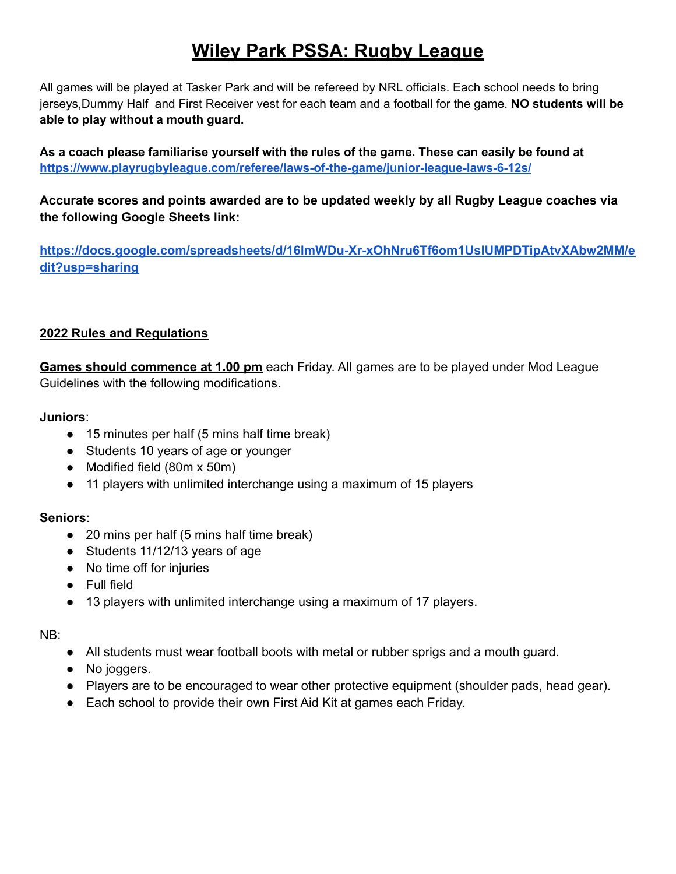## **Wiley Park PSSA: Rugby League**

All games will be played at Tasker Park and will be refereed by NRL officials. Each school needs to bring jerseys,Dummy Half and First Receiver vest for each team and a football for the game. **NO students will be able to play without a mouth guard.**

**As a coach please familiarise yourself with the rules of the game. These can easily be found at <https://www.playrugbyleague.com/referee/laws-of-the-game/junior-league-laws-6-12s/>**

**Accurate scores and points awarded are to be updated weekly by all Rugby League coaches via the following Google Sheets link:**

**[https://docs.google.com/spreadsheets/d/16lmWDu-Xr-xOhNru6Tf6om1UslUMPDTipAtvXAbw2MM/e](https://docs.google.com/spreadsheets/d/16lmWDu-Xr-xOhNru6Tf6om1UslUMPDTipAtvXAbw2MM/edit?usp=sharing) [dit?usp=sharing](https://docs.google.com/spreadsheets/d/16lmWDu-Xr-xOhNru6Tf6om1UslUMPDTipAtvXAbw2MM/edit?usp=sharing)**

## **2022 Rules and Regulations**

**Games should commence at 1.00 pm** each Friday. All games are to be played under Mod League Guidelines with the following modifications.

**Juniors**:

- 15 minutes per half (5 mins half time break)
- Students 10 years of age or younger
- Modified field (80m x 50m)
- 11 players with unlimited interchange using a maximum of 15 players

## **Seniors**:

- 20 mins per half (5 mins half time break)
- Students 11/12/13 years of age
- No time off for injuries
- Full field
- 13 players with unlimited interchange using a maximum of 17 players.

NB:

- All students must wear football boots with metal or rubber sprigs and a mouth guard.
- No joggers.
- Players are to be encouraged to wear other protective equipment (shoulder pads, head gear).
- Each school to provide their own First Aid Kit at games each Friday.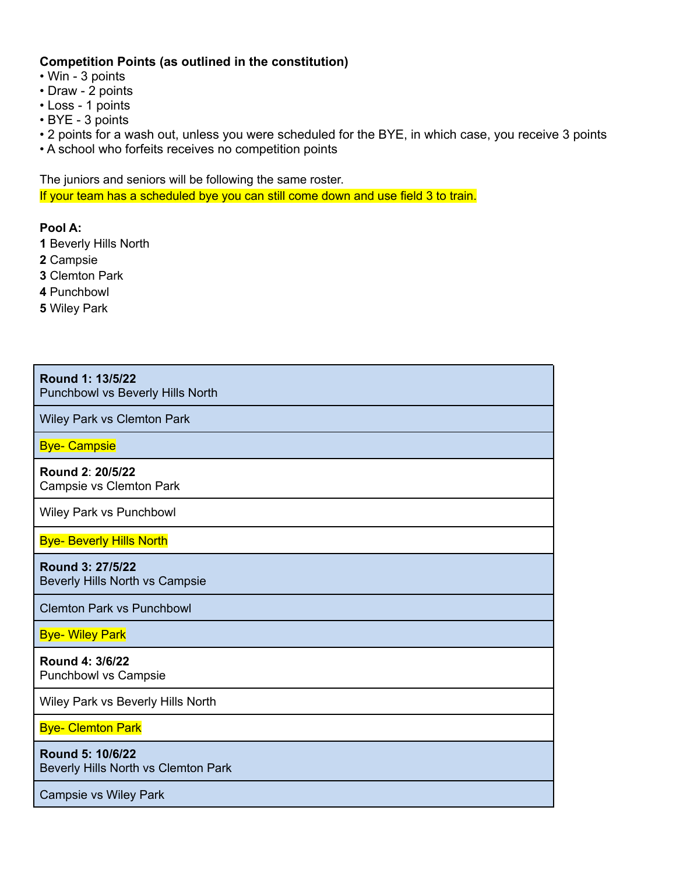## **Competition Points (as outlined in the constitution)**

• Win - 3 points

- Draw 2 points
- Loss 1 points
- BYE 3 points

• 2 points for a wash out, unless you were scheduled for the BYE, in which case, you receive 3 points

• A school who forfeits receives no competition points

The juniors and seniors will be following the same roster.

If your team has a scheduled bye you can still come down and use field 3 to train.

**Pool A:**

- **1** Beverly Hills North
- **2** Campsie
- **3** Clemton Park
- **4** Punchbowl
- **5** Wiley Park

| Round 1: 13/5/22<br>Punchbowl vs Beverly Hills North    |
|---------------------------------------------------------|
| Wiley Park vs Clemton Park                              |
| <b>Bye- Campsie</b>                                     |
| Round 2: 20/5/22<br>Campsie vs Clemton Park             |
| Wiley Park vs Punchbowl                                 |
| <b>Bye- Beverly Hills North</b>                         |
| Round 3: 27/5/22<br>Beverly Hills North vs Campsie      |
| <b>Clemton Park vs Punchbowl</b>                        |
| <b>Bye- Wiley Park</b>                                  |
| Round 4: 3/6/22<br><b>Punchbowl vs Campsie</b>          |
| Wiley Park vs Beverly Hills North                       |
| <b>Bye- Clemton Park</b>                                |
| Round 5: 10/6/22<br>Beverly Hills North vs Clemton Park |
| <b>Campsie vs Wiley Park</b>                            |